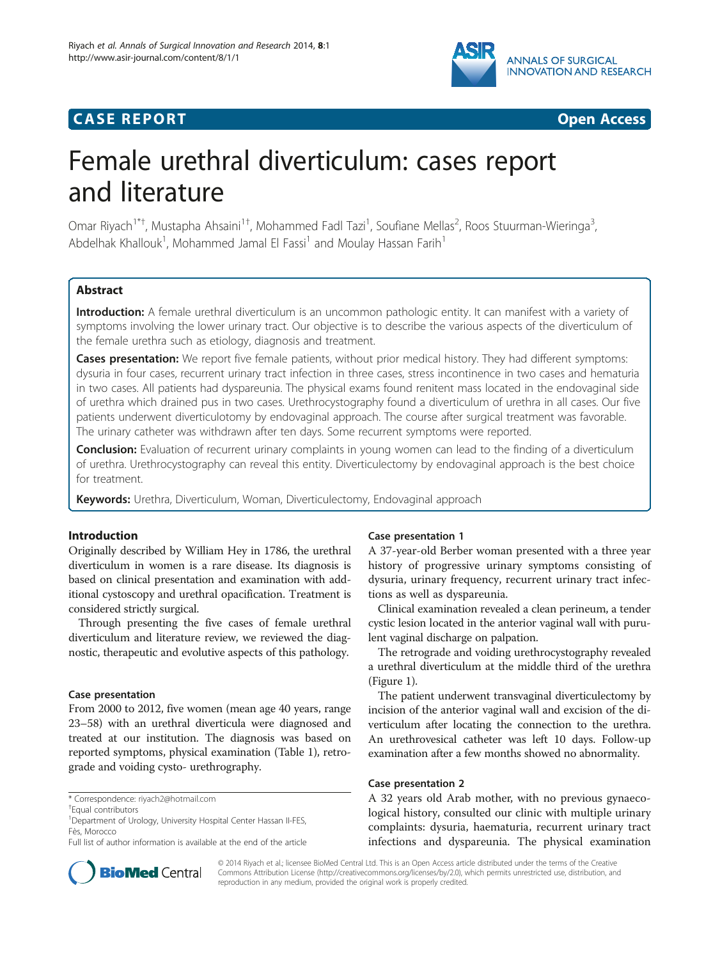

# **CASE REPORT CASE REPORT CASE ACCESS**

# Female urethral diverticulum: cases report and literature

Omar Riyach<sup>1\*†</sup>, Mustapha Ahsaini<sup>1†</sup>, Mohammed Fadl Tazi<sup>1</sup>, Soufiane Mellas<sup>2</sup>, Roos Stuurman-Wieringa<sup>3</sup> , Abdelhak Khallouk<sup>1</sup>, Mohammed Jamal El Fassi<sup>1</sup> and Moulay Hassan Farih<sup>1</sup>

# **Abstract**

Introduction: A female urethral diverticulum is an uncommon pathologic entity. It can manifest with a variety of symptoms involving the lower urinary tract. Our objective is to describe the various aspects of the diverticulum of the female urethra such as etiology, diagnosis and treatment.

Cases presentation: We report five female patients, without prior medical history. They had different symptoms: dysuria in four cases, recurrent urinary tract infection in three cases, stress incontinence in two cases and hematuria in two cases. All patients had dyspareunia. The physical exams found renitent mass located in the endovaginal side of urethra which drained pus in two cases. Urethrocystography found a diverticulum of urethra in all cases. Our five patients underwent diverticulotomy by endovaginal approach. The course after surgical treatment was favorable. The urinary catheter was withdrawn after ten days. Some recurrent symptoms were reported.

Conclusion: Evaluation of recurrent urinary complaints in young women can lead to the finding of a diverticulum of urethra. Urethrocystography can reveal this entity. Diverticulectomy by endovaginal approach is the best choice for treatment.

Keywords: Urethra, Diverticulum, Woman, Diverticulectomy, Endovaginal approach

# Introduction

Originally described by William Hey in 1786, the urethral diverticulum in women is a rare disease. Its diagnosis is based on clinical presentation and examination with additional cystoscopy and urethral opacification. Treatment is considered strictly surgical.

Through presenting the five cases of female urethral diverticulum and literature review, we reviewed the diagnostic, therapeutic and evolutive aspects of this pathology.

## Case presentation

From 2000 to 2012, five women (mean age 40 years, range 23–58) with an urethral diverticula were diagnosed and treated at our institution. The diagnosis was based on reported symptoms, physical examination (Table [1](#page-1-0)), retrograde and voiding cysto- urethrography.



A 37-year-old Berber woman presented with a three year history of progressive urinary symptoms consisting of dysuria, urinary frequency, recurrent urinary tract infections as well as dyspareunia.

Clinical examination revealed a clean perineum, a tender cystic lesion located in the anterior vaginal wall with purulent vaginal discharge on palpation.

The retrograde and voiding urethrocystography revealed a urethral diverticulum at the middle third of the urethra (Figure [1](#page-1-0)).

The patient underwent transvaginal diverticulectomy by incision of the anterior vaginal wall and excision of the diverticulum after locating the connection to the urethra. An urethrovesical catheter was left 10 days. Follow-up examination after a few months showed no abnormality.

# Case presentation 2

A 32 years old Arab mother, with no previous gynaecological history, consulted our clinic with multiple urinary complaints: dysuria, haematuria, recurrent urinary tract infections and dyspareunia. The physical examination



© 2014 Riyach et al.; licensee BioMed Central Ltd. This is an Open Access article distributed under the terms of the Creative Commons Attribution License [\(http://creativecommons.org/licenses/by/2.0\)](http://creativecommons.org/licenses/by/2.0), which permits unrestricted use, distribution, and reproduction in any medium, provided the original work is properly credited.

<sup>\*</sup> Correspondence: [riyach2@hotmail.com](mailto:riyach2@hotmail.com) †

Equal contributors

<sup>&</sup>lt;sup>1</sup> Department of Urology, University Hospital Center Hassan II-FES, Fès, Morocco

Full list of author information is available at the end of the article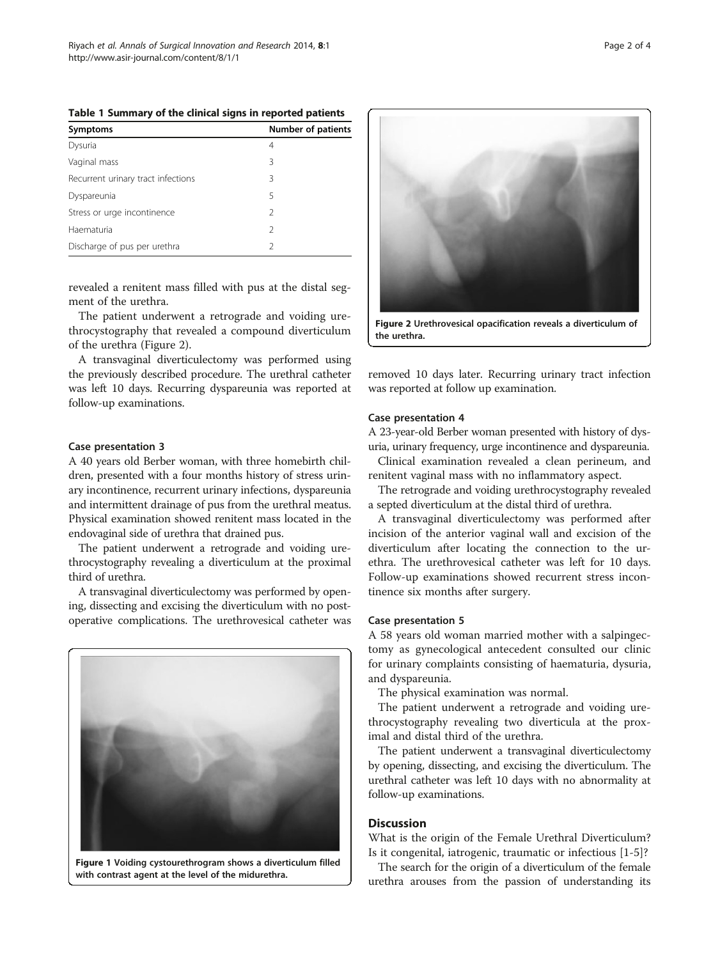| <b>Symptoms</b>                    | <b>Number of patients</b> |
|------------------------------------|---------------------------|
| Dysuria                            | 4                         |
| Vaginal mass                       | 3                         |
| Recurrent urinary tract infections | 3                         |
| Dyspareunia                        | 5                         |
| Stress or urge incontinence        | 2                         |
| Haematuria                         | $\mathcal{P}$             |
| Discharge of pus per urethra       |                           |

<span id="page-1-0"></span>Table 1 Summary of the clinical signs in reported patients

revealed a renitent mass filled with pus at the distal segment of the urethra.

The patient underwent a retrograde and voiding urethrocystography that revealed a compound diverticulum of the urethra (Figure 2).

A transvaginal diverticulectomy was performed using the previously described procedure. The urethral catheter was left 10 days. Recurring dyspareunia was reported at follow-up examinations.

#### Case presentation 3

A 40 years old Berber woman, with three homebirth children, presented with a four months history of stress urinary incontinence, recurrent urinary infections, dyspareunia and intermittent drainage of pus from the urethral meatus. Physical examination showed renitent mass located in the endovaginal side of urethra that drained pus.

The patient underwent a retrograde and voiding urethrocystography revealing a diverticulum at the proximal third of urethra.

A transvaginal diverticulectomy was performed by opening, dissecting and excising the diverticulum with no postoperative complications. The urethrovesical catheter was



Figure 1 Voiding cystourethrogram shows a diverticulum filled with contrast agent at the level of the midurethra.



removed 10 days later. Recurring urinary tract infection was reported at follow up examination.

#### Case presentation 4

A 23-year-old Berber woman presented with history of dysuria, urinary frequency, urge incontinence and dyspareunia.

Clinical examination revealed a clean perineum, and renitent vaginal mass with no inflammatory aspect.

The retrograde and voiding urethrocystography revealed a septed diverticulum at the distal third of urethra.

A transvaginal diverticulectomy was performed after incision of the anterior vaginal wall and excision of the diverticulum after locating the connection to the urethra. The urethrovesical catheter was left for 10 days. Follow-up examinations showed recurrent stress incontinence six months after surgery.

#### Case presentation 5

A 58 years old woman married mother with a salpingectomy as gynecological antecedent consulted our clinic for urinary complaints consisting of haematuria, dysuria, and dyspareunia.

The physical examination was normal.

The patient underwent a retrograde and voiding urethrocystography revealing two diverticula at the proximal and distal third of the urethra.

The patient underwent a transvaginal diverticulectomy by opening, dissecting, and excising the diverticulum. The urethral catheter was left 10 days with no abnormality at follow-up examinations.

# **Discussion**

What is the origin of the Female Urethral Diverticulum? Is it congenital, iatrogenic, traumatic or infectious [[1-5](#page-3-0)]?

The search for the origin of a diverticulum of the female urethra arouses from the passion of understanding its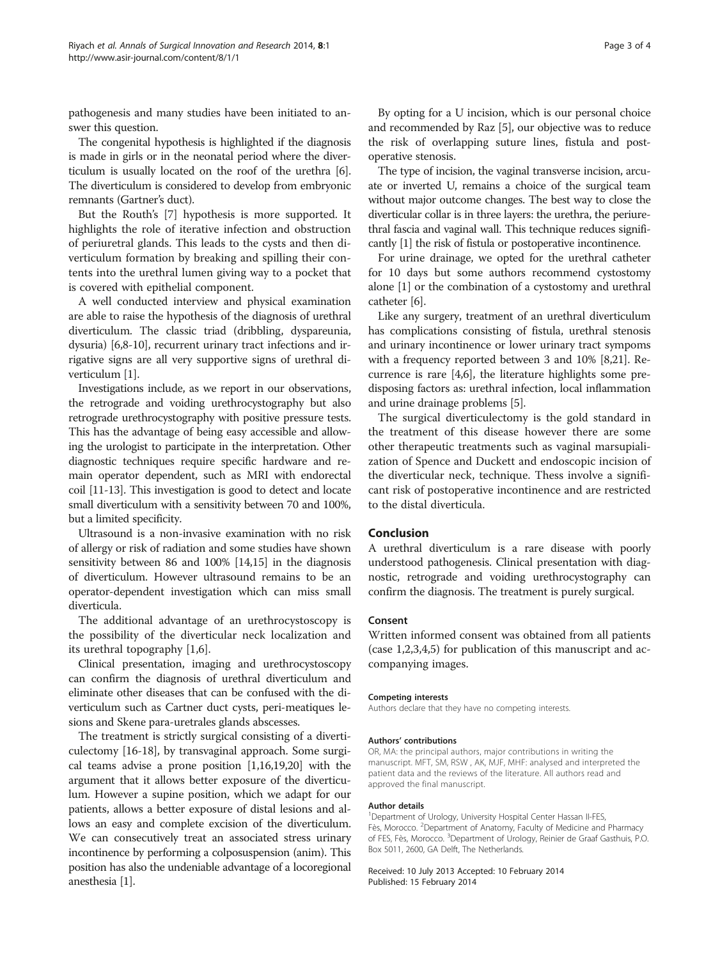pathogenesis and many studies have been initiated to answer this question.

The congenital hypothesis is highlighted if the diagnosis is made in girls or in the neonatal period where the diverticulum is usually located on the roof of the urethra [[6](#page-3-0)]. The diverticulum is considered to develop from embryonic remnants (Gartner's duct).

But the Routh's [[7\]](#page-3-0) hypothesis is more supported. It highlights the role of iterative infection and obstruction of periuretral glands. This leads to the cysts and then diverticulum formation by breaking and spilling their contents into the urethral lumen giving way to a pocket that is covered with epithelial component.

A well conducted interview and physical examination are able to raise the hypothesis of the diagnosis of urethral diverticulum. The classic triad (dribbling, dyspareunia, dysuria) [[6,8](#page-3-0)-[10](#page-3-0)], recurrent urinary tract infections and irrigative signs are all very supportive signs of urethral diverticulum [[1](#page-3-0)].

Investigations include, as we report in our observations, the retrograde and voiding urethrocystography but also retrograde urethrocystography with positive pressure tests. This has the advantage of being easy accessible and allowing the urologist to participate in the interpretation. Other diagnostic techniques require specific hardware and remain operator dependent, such as MRI with endorectal coil [[11](#page-3-0)-[13](#page-3-0)]. This investigation is good to detect and locate small diverticulum with a sensitivity between 70 and 100%, but a limited specificity.

Ultrasound is a non-invasive examination with no risk of allergy or risk of radiation and some studies have shown sensitivity between 86 and 100% [\[14,15\]](#page-3-0) in the diagnosis of diverticulum. However ultrasound remains to be an operator-dependent investigation which can miss small diverticula.

The additional advantage of an urethrocystoscopy is the possibility of the diverticular neck localization and its urethral topography [\[1,6](#page-3-0)].

Clinical presentation, imaging and urethrocystoscopy can confirm the diagnosis of urethral diverticulum and eliminate other diseases that can be confused with the diverticulum such as Cartner duct cysts, peri-meatiques lesions and Skene para-uretrales glands abscesses.

The treatment is strictly surgical consisting of a diverticulectomy [\[16-18\]](#page-3-0), by transvaginal approach. Some surgical teams advise a prone position [[1](#page-3-0),[16,19,20](#page-3-0)] with the argument that it allows better exposure of the diverticulum. However a supine position, which we adapt for our patients, allows a better exposure of distal lesions and allows an easy and complete excision of the diverticulum. We can consecutively treat an associated stress urinary incontinence by performing a colposuspension (anim). This position has also the undeniable advantage of a locoregional anesthesia [\[1\]](#page-3-0).

By opting for a U incision, which is our personal choice and recommended by Raz [\[5](#page-3-0)], our objective was to reduce the risk of overlapping suture lines, fistula and postoperative stenosis.

The type of incision, the vaginal transverse incision, arcuate or inverted U, remains a choice of the surgical team without major outcome changes. The best way to close the diverticular collar is in three layers: the urethra, the periurethral fascia and vaginal wall. This technique reduces significantly [[1](#page-3-0)] the risk of fistula or postoperative incontinence.

For urine drainage, we opted for the urethral catheter for 10 days but some authors recommend cystostomy alone [\[1](#page-3-0)] or the combination of a cystostomy and urethral catheter [[6](#page-3-0)].

Like any surgery, treatment of an urethral diverticulum has complications consisting of fistula, urethral stenosis and urinary incontinence or lower urinary tract sympoms with a frequency reported between 3 and 10% [[8,21](#page-3-0)]. Recurrence is rare [\[4,6](#page-3-0)], the literature highlights some predisposing factors as: urethral infection, local inflammation and urine drainage problems [\[5](#page-3-0)].

The surgical diverticulectomy is the gold standard in the treatment of this disease however there are some other therapeutic treatments such as vaginal marsupialization of Spence and Duckett and endoscopic incision of the diverticular neck, technique. Thess involve a significant risk of postoperative incontinence and are restricted to the distal diverticula.

## Conclusion

A urethral diverticulum is a rare disease with poorly understood pathogenesis. Clinical presentation with diagnostic, retrograde and voiding urethrocystography can confirm the diagnosis. The treatment is purely surgical.

## Consent

Written informed consent was obtained from all patients (case 1,2,3,4,5) for publication of this manuscript and accompanying images.

#### Competing interests

Authors declare that they have no competing interests.

#### Authors' contributions

OR, MA: the principal authors, major contributions in writing the manuscript. MFT, SM, RSW , AK, MJF, MHF: analysed and interpreted the patient data and the reviews of the literature. All authors read and approved the final manuscript.

#### Author details

<sup>1</sup>Department of Urology, University Hospital Center Hassan II-FES, Fès, Morocco. <sup>2</sup>Department of Anatomy, Faculty of Medicine and Pharmacy of FES, Fès, Morocco. <sup>3</sup>Department of Urology, Reinier de Graaf Gasthuis, P.O. Box 5011, 2600, GA Delft, The Netherlands.

#### Received: 10 July 2013 Accepted: 10 February 2014 Published: 15 February 2014